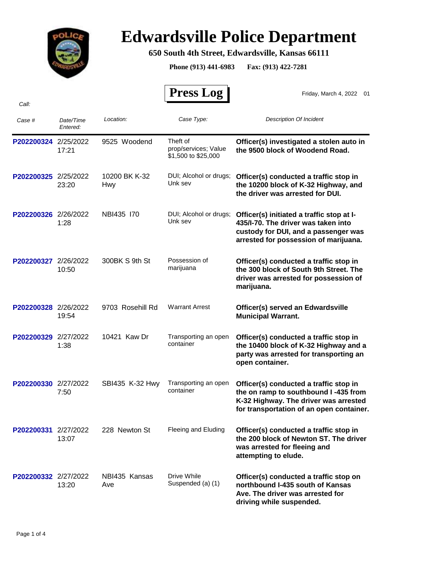

## **Edwardsville Police Department**

## **650 South 4th Street, Edwardsville, Kansas 66111**

**Phone (913) 441-6983 Fax: (913) 422-7281**

 **Press Log** 

Friday, March 4, 2022 01

| Case #               | Date/Time<br>Entered: | Location:            | Case Type:                                              | <b>Description Of Incident</b>                                                                                                                                      |
|----------------------|-----------------------|----------------------|---------------------------------------------------------|---------------------------------------------------------------------------------------------------------------------------------------------------------------------|
| P202200324 2/25/2022 | 17:21                 | 9525 Woodend         | Theft of<br>prop/services; Value<br>\$1,500 to \$25,000 | Officer(s) investigated a stolen auto in<br>the 9500 block of Woodend Road.                                                                                         |
| P202200325 2/25/2022 | 23:20                 | 10200 BK K-32<br>Hwy | DUI; Alcohol or drugs;<br>Unk sev                       | Officer(s) conducted a traffic stop in<br>the 10200 block of K-32 Highway, and<br>the driver was arrested for DUI.                                                  |
| P202200326 2/26/2022 | 1:28                  | NBI435 170           | DUI; Alcohol or drugs;<br>Unk sev                       | Officer(s) initiated a traffic stop at I-<br>435/I-70. The driver was taken into<br>custody for DUI, and a passenger was<br>arrested for possession of marijuana.   |
| P202200327 2/26/2022 | 10:50                 | 300BK S 9th St       | Possession of<br>marijuana                              | Officer(s) conducted a traffic stop in<br>the 300 block of South 9th Street. The<br>driver was arrested for possession of<br>marijuana.                             |
| P202200328 2/26/2022 | 19:54                 | 9703 Rosehill Rd     | <b>Warrant Arrest</b>                                   | Officer(s) served an Edwardsville<br><b>Municipal Warrant.</b>                                                                                                      |
| P202200329 2/27/2022 | 1:38                  | 10421 Kaw Dr         | Transporting an open<br>container                       | Officer(s) conducted a traffic stop in<br>the 10400 block of K-32 Highway and a<br>party was arrested for transporting an<br>open container.                        |
| P202200330 2/27/2022 | 7:50                  | SBI435 K-32 Hwy      | Transporting an open<br>container                       | Officer(s) conducted a traffic stop in<br>the on ramp to southbound I-435 from<br>K-32 Highway. The driver was arrested<br>for transportation of an open container. |
| P202200331 2/27/2022 | 13:07                 | 228 Newton St        | Fleeing and Eluding                                     | Officer(s) conducted a traffic stop in<br>the 200 block of Newton ST. The driver<br>was arrested for fleeing and<br>attempting to elude.                            |
| P202200332 2/27/2022 | 13:20                 | NBI435 Kansas<br>Ave | Drive While<br>Suspended (a) (1)                        | Officer(s) conducted a traffic stop on<br>northbound I-435 south of Kansas<br>Ave. The driver was arrested for<br>driving while suspended.                          |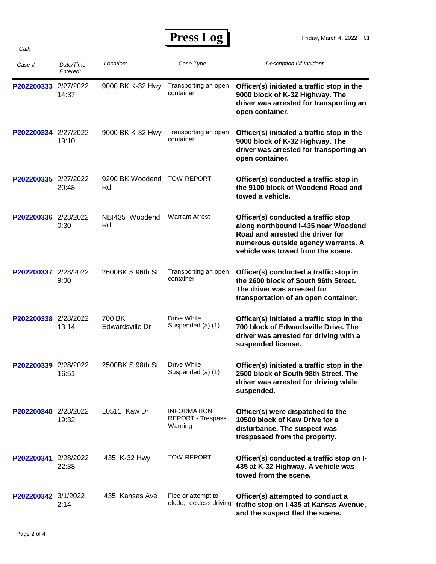## **Press Log**

| Case #               | Date/Time<br>Entered: | Location:                 | Case Type:                                                | <b>Description Of Incident</b>                                                                                                                                                             |
|----------------------|-----------------------|---------------------------|-----------------------------------------------------------|--------------------------------------------------------------------------------------------------------------------------------------------------------------------------------------------|
| P202200333           | 2/27/2022<br>14:37    | 9000 BK K-32 Hwy          | Transporting an open<br>container                         | Officer(s) initiated a traffic stop in the<br>9000 block of K-32 Highway. The<br>driver was arrested for transporting an<br>open container.                                                |
| P202200334 2/27/2022 | 19:10                 | 9000 BK K-32 Hwy          | Transporting an open<br>container                         | Officer(s) initiated a traffic stop in the<br>9000 block of K-32 Highway. The<br>driver was arrested for transporting an<br>open container.                                                |
| P202200335 2/27/2022 | 20:48                 | 9200 BK Woodend<br>Rd     | <b>TOW REPORT</b>                                         | Officer(s) conducted a traffic stop in<br>the 9100 block of Woodend Road and<br>towed a vehicle.                                                                                           |
| P202200336 2/28/2022 | 0:30                  | NBI435 Woodend<br>Rd      | <b>Warrant Arrest</b>                                     | Officer(s) conducted a traffic stop<br>along northbound I-435 near Woodend<br>Road and arrested the driver for<br>numerous outside agency warrants. A<br>vehicle was towed from the scene. |
| P202200337 2/28/2022 | 9:00                  | 2600BK S 96th St          | Transporting an open<br>container                         | Officer(s) conducted a traffic stop in<br>the 2600 block of South 96th Street.<br>The driver was arrested for<br>transportation of an open container.                                      |
| P202200338 2/28/2022 | 13:14                 | 700 BK<br>Edwardsville Dr | Drive While<br>Suspended (a) (1)                          | Officer(s) initiated a traffic stop in the<br>700 block of Edwardsville Drive. The<br>driver was arrested for driving with a<br>suspended license.                                         |
| P202200339 2/28/2022 | 16:51                 | 2500BK S 98th St          | Drive While<br>Suspended (a) (1)                          | Officer(s) initiated a traffic stop in the<br>2500 block of South 98th Street. The<br>driver was arrested for driving while<br>suspended.                                                  |
| P202200340 2/28/2022 | 19:32                 | 10511 Kaw Dr              | <b>INFORMATION</b><br><b>REPORT - Trespass</b><br>Warning | Officer(s) were dispatched to the<br>10500 block of Kaw Drive for a<br>disturbance. The suspect was<br>trespassed from the property.                                                       |
| P202200341 2/28/2022 | 22:38                 | 1435 K-32 Hwy             | <b>TOW REPORT</b>                                         | Officer(s) conducted a traffic stop on I-<br>435 at K-32 Highway. A vehicle was<br>towed from the scene.                                                                                   |
| P202200342 3/1/2022  | 2:14                  | 1435 Kansas Ave           | Flee or attempt to<br>elude; reckless driving             | Officer(s) attempted to conduct a<br>traffic stop on I-435 at Kansas Avenue,<br>and the suspect fled the scene.                                                                            |

*Call:*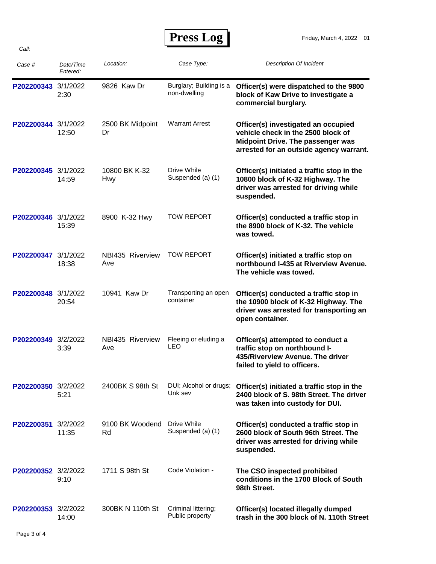**Press Log** 

| Case #              | Date/Time<br>Entered: | Location:                   | Case Type:                              | <b>Description Of Incident</b>                                                                                                                                   |
|---------------------|-----------------------|-----------------------------|-----------------------------------------|------------------------------------------------------------------------------------------------------------------------------------------------------------------|
| P202200343 3/1/2022 | 2:30                  | 9826 Kaw Dr                 | Burglary; Building is a<br>non-dwelling | Officer(s) were dispatched to the 9800<br>block of Kaw Drive to investigate a<br>commercial burglary.                                                            |
| P202200344 3/1/2022 | 12:50                 | 2500 BK Midpoint<br>Dr      | <b>Warrant Arrest</b>                   | Officer(s) investigated an occupied<br>vehicle check in the 2500 block of<br><b>Midpoint Drive. The passenger was</b><br>arrested for an outside agency warrant. |
| P202200345 3/1/2022 | 14:59                 | 10800 BK K-32<br><b>Hwy</b> | Drive While<br>Suspended (a) (1)        | Officer(s) initiated a traffic stop in the<br>10800 block of K-32 Highway. The<br>driver was arrested for driving while<br>suspended.                            |
| P202200346 3/1/2022 | 15:39                 | 8900 K-32 Hwy               | <b>TOW REPORT</b>                       | Officer(s) conducted a traffic stop in<br>the 8900 block of K-32. The vehicle<br>was towed.                                                                      |
| P202200347 3/1/2022 | 18:38                 | NBI435 Riverview<br>Ave     | <b>TOW REPORT</b>                       | Officer(s) initiated a traffic stop on<br>northbound I-435 at Riverview Avenue.<br>The vehicle was towed.                                                        |
| P202200348 3/1/2022 | 20:54                 | 10941 Kaw Dr                | Transporting an open<br>container       | Officer(s) conducted a traffic stop in<br>the 10900 block of K-32 Highway. The<br>driver was arrested for transporting an<br>open container.                     |
| P202200349 3/2/2022 | 3:39                  | NBI435 Riverview<br>Ave     | Fleeing or eluding a<br><b>LEO</b>      | Officer(s) attempted to conduct a<br>traffic stop on northbound I-<br>435/Riverview Avenue. The driver<br>failed to yield to officers.                           |
| P202200350 3/2/2022 | 5:21                  | 2400BK S 98th St            | DUI; Alcohol or drugs;<br>Unk sev       | Officer(s) initiated a traffic stop in the<br>2400 block of S. 98th Street. The driver<br>was taken into custody for DUI.                                        |
| P202200351 3/2/2022 | 11:35                 | 9100 BK Woodend<br>Rd       | Drive While<br>Suspended (a) (1)        | Officer(s) conducted a traffic stop in<br>2600 block of South 96th Street. The<br>driver was arrested for driving while<br>suspended.                            |
| P202200352 3/2/2022 | 9:10                  | 1711 S 98th St              | Code Violation -                        | The CSO inspected prohibited<br>conditions in the 1700 Block of South<br>98th Street.                                                                            |
| P202200353 3/2/2022 | 14:00                 | 300BK N 110th St            | Criminal littering;<br>Public property  | Officer(s) located illegally dumped<br>trash in the 300 block of N. 110th Street                                                                                 |

*Call:*